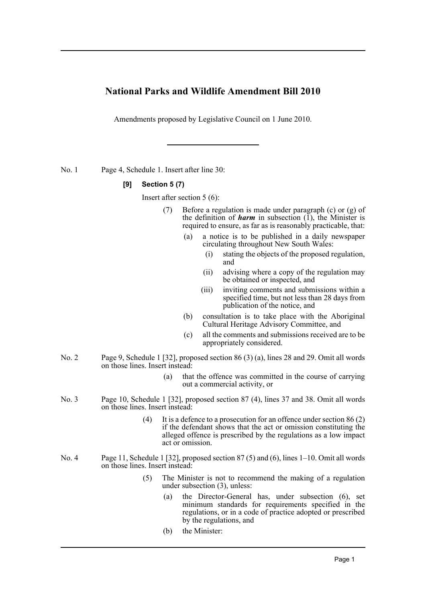## **National Parks and Wildlife Amendment Bill 2010**

Amendments proposed by Legislative Council on 1 June 2010.

No. 1 Page 4, Schedule 1. Insert after line 30:

## **[9] Section 5 (7)**

Insert after section 5 (6):

- (7) Before a regulation is made under paragraph (c) or (g) of the definition of **harm** in subsection  $(1)$ , the Minister is required to ensure, as far as is reasonably practicable, that:
	- (a) a notice is to be published in a daily newspaper circulating throughout New South Wales:
		- (i) stating the objects of the proposed regulation, and
		- (ii) advising where a copy of the regulation may be obtained or inspected, and
		- (iii) inviting comments and submissions within a specified time, but not less than 28 days from publication of the notice, and
	- (b) consultation is to take place with the Aboriginal Cultural Heritage Advisory Committee, and
	- (c) all the comments and submissions received are to be appropriately considered.
- No. 2 Page 9, Schedule 1 [32], proposed section 86 (3) (a), lines 28 and 29. Omit all words on those lines. Insert instead:
	- (a) that the offence was committed in the course of carrying out a commercial activity, or
- No. 3 Page 10, Schedule 1 [32], proposed section 87 (4), lines 37 and 38. Omit all words on those lines. Insert instead:
	- (4) It is a defence to a prosecution for an offence under section 86 (2) if the defendant shows that the act or omission constituting the alleged offence is prescribed by the regulations as a low impact act or omission.
- No. 4 Page 11, Schedule 1 [32], proposed section 87 (5) and (6), lines 1–10. Omit all words on those lines. Insert instead:
	- (5) The Minister is not to recommend the making of a regulation under subsection (3), unless:
		- (a) the Director-General has, under subsection (6), set minimum standards for requirements specified in the regulations, or in a code of practice adopted or prescribed by the regulations, and
		- (b) the Minister: